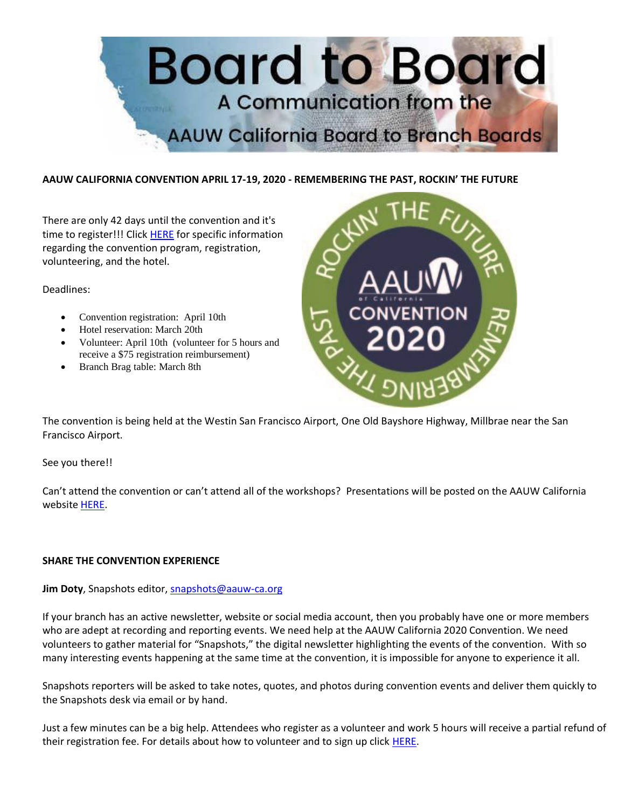

## **AAUW CALIFORNIA CONVENTION APRIL 17-19, 2020 - REMEMBERING THE PAST, ROCKIN' THE FUTURE**

There are only 42 days until the convention and it's time to register!!! Click [HERE](https://www.aauw-ca.org/2020-convention/) for specific information regarding the convention program, registration, volunteering, and the hotel.

Deadlines:

- Convention registration: April 10th
- Hotel reservation: March 20th
- Volunteer: April 10th (volunteer for 5 hours and receive a \$75 registration reimbursement)
- Branch Brag table: March 8th



The convention is being held at the Westin San Francisco Airport, One Old Bayshore Highway, Millbrae near the San Francisco Airport.

See you there!!

Can't attend the convention or can't attend all of the workshops? Presentations will be posted on the AAUW California website [HERE.](https://www.aauw-ca.org/2020-convention-presentations/)

## **SHARE THE CONVENTION EXPERIENCE**

## Jim Doty, Snapshots editor, **snapshots@aauw-ca.org**

If your branch has an active newsletter, website or social media account, then you probably have one or more members who are adept at recording and reporting events. We need help at the AAUW California 2020 Convention. We need volunteers to gather material for "Snapshots," the digital newsletter highlighting the events of the convention. With so many interesting events happening at the same time at the convention, it is impossible for anyone to experience it all.

Snapshots reporters will be asked to take notes, quotes, and photos during convention events and deliver them quickly to the Snapshots desk via email or by hand.

Just a few minutes can be a big help. Attendees who register as a volunteer and work 5 hours will receive a partial refund of their registration fee. For details about how to volunteer and to sign up click [HERE.](https://www.aauw-ca.org/2020-convention/)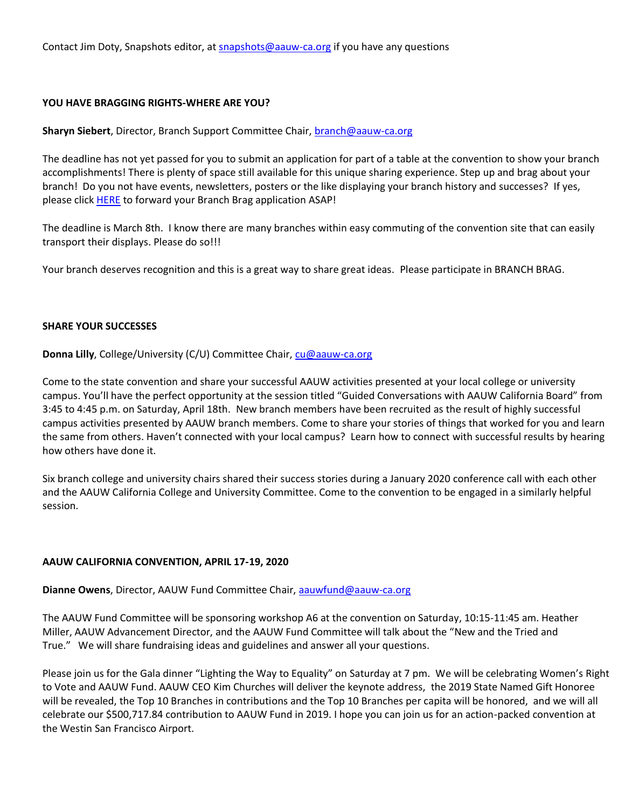Contact Jim Doty, Snapshots editor, at [snapshots@aauw-ca.org](mailto:snapshots@aauw-ca.org) if you have any questions

#### **YOU HAVE BRAGGING RIGHTS-WHERE ARE YOU?**

**Sharyn Siebert**, Director, Branch Support Committee Chair, [branch@aauw-ca.org](mailto:branch@aauw-ca.org)

The deadline has not yet passed for you to submit an application for part of a table at the convention to show your branch accomplishments! There is plenty of space still available for this unique sharing experience. Step up and brag about your branch! Do you not have events, newsletters, posters or the like displaying your branch history and successes? If yes, please click **HERE** to forward your Branch Brag application ASAP!

The deadline is March 8th. I know there are many branches within easy commuting of the convention site that can easily transport their displays. Please do so!!!

Your branch deserves recognition and this is a great way to share great ideas. Please participate in BRANCH BRAG.

#### **SHARE YOUR SUCCESSES**

**Donna Lilly**, College/University (C/U) Committee Chair, [cu@aauw-ca.org](mailto:cu@aauw-ca.org)

Come to the state convention and share your successful AAUW activities presented at your local college or university campus. You'll have the perfect opportunity at the session titled "Guided Conversations with AAUW California Board" from 3:45 to 4:45 p.m. on Saturday, April 18th. New branch members have been recruited as the result of highly successful campus activities presented by AAUW branch members. Come to share your stories of things that worked for you and learn the same from others. Haven't connected with your local campus? Learn how to connect with successful results by hearing how others have done it.

Six branch college and university chairs shared their success stories during a January 2020 conference call with each other and the AAUW California College and University Committee. Come to the convention to be engaged in a similarly helpful session.

## **AAUW CALIFORNIA CONVENTION, APRIL 17-19, 2020**

**Dianne Owens**, Director, AAUW Fund Committee Chair, [aauwfund@aauw-ca.org](mailto:aauwfund@aauw-ca.org)

The AAUW Fund Committee will be sponsoring workshop A6 at the convention on Saturday, 10:15-11:45 am. Heather Miller, AAUW Advancement Director, and the AAUW Fund Committee will talk about the "New and the Tried and True." We will share fundraising ideas and guidelines and answer all your questions.

Please join us for the Gala dinner "Lighting the Way to Equality" on Saturday at 7 pm. We will be celebrating Women's Right to Vote and AAUW Fund. AAUW CEO Kim Churches will deliver the keynote address, the 2019 State Named Gift Honoree will be revealed, the Top 10 Branches in contributions and the Top 10 Branches per capita will be honored, and we will all celebrate our \$500,717.84 contribution to AAUW Fund in 2019. I hope you can join us for an action-packed convention at the Westin San Francisco Airport.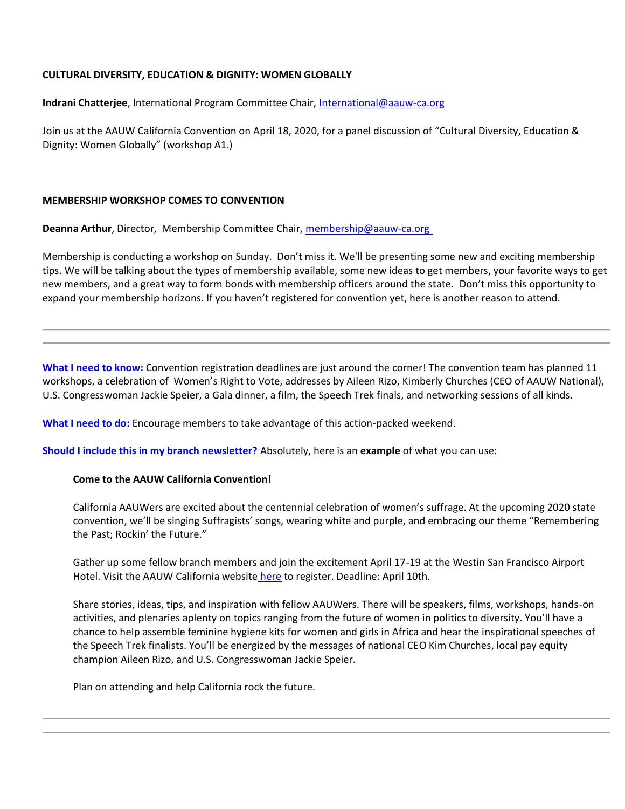## **CULTURAL DIVERSITY, EDUCATION & DIGNITY: WOMEN GLOBALLY**

**Indrani Chatterjee**, International Program Committee Chair[, International@aauw-ca.org](mailto:International@aauw-ca.org)

Join us at the AAUW California Convention on April 18, 2020, for a panel discussion of "Cultural Diversity, Education & Dignity: Women Globally" (workshop A1.)

#### **MEMBERSHIP WORKSHOP COMES TO CONVENTION**

**Deanna Arthur**, Director, Membership Committee Chair, [membership@aauw-ca.org](mailto:membership@aauw-ca.org)

Membership is conducting a workshop on Sunday. Don't miss it. We'll be presenting some new and exciting membership tips. We will be talking about the types of membership available, some new ideas to get members, your favorite ways to get new members, and a great way to form bonds with membership officers around the state. Don't miss this opportunity to expand your membership horizons. If you haven't registered for convention yet, here is another reason to attend.

**What I need to know:** Convention registration deadlines are just around the corner! The convention team has planned 11 workshops, a celebration of Women's Right to Vote, addresses by Aileen Rizo, Kimberly Churches (CEO of AAUW National), U.S. Congresswoman Jackie Speier, a Gala dinner, a film, the Speech Trek finals, and networking sessions of all kinds.

**What I need to do:** Encourage members to take advantage of this action-packed weekend.

**Should I include this in my branch newsletter?** Absolutely, here is an **example** of what you can use:

## **Come to the AAUW California Convention!**

California AAUWers are excited about the centennial celebration of women's suffrage. At the upcoming 2020 state convention, we'll be singing Suffragists' songs, wearing white and purple, and embracing our theme "Remembering the Past; Rockin' the Future."

Gather up some fellow branch members and join the excitement April 17-19 at the Westin San Francisco Airport Hotel. Visit the AAUW California website [here](https://www.aauw-ca.org/2020-convention/) to register. Deadline: April 10th.

Share stories, ideas, tips, and inspiration with fellow AAUWers. There will be speakers, films, workshops, hands-on activities, and plenaries aplenty on topics ranging from the future of women in politics to diversity. You'll have a chance to help assemble feminine hygiene kits for women and girls in Africa and hear the inspirational speeches of the Speech Trek finalists. You'll be energized by the messages of national CEO Kim Churches, local pay equity champion Aileen Rizo, and U.S. Congresswoman Jackie Speier.

Plan on attending and help California rock the future.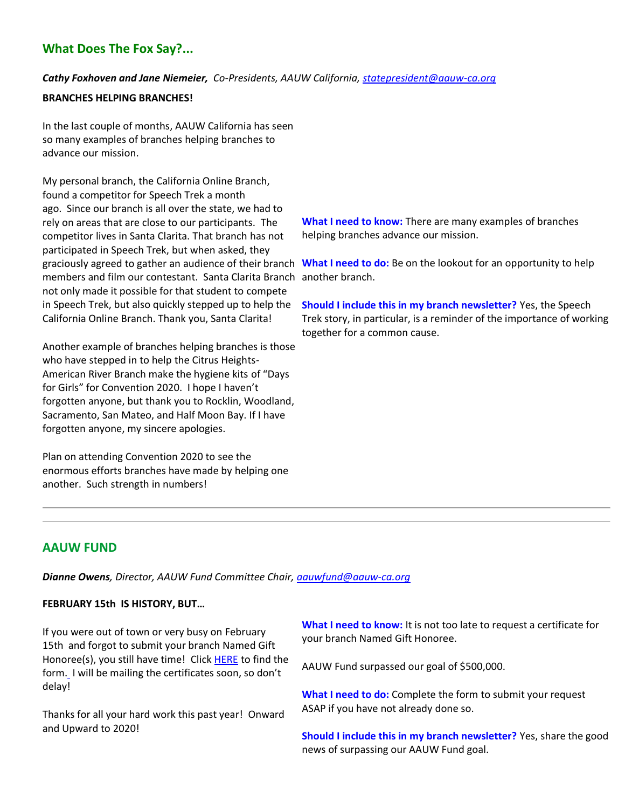# **What Does The Fox Say?...**

## *Cathy Foxhoven and Jane Niemeier, Co-Presidents, AAUW California, [statepresident@aauw-ca.org](mailto:statepresident@aauw-ca.org)*

#### **BRANCHES HELPING BRANCHES!**

In the last couple of months, AAUW California has seen so many examples of branches helping branches to advance our mission.

My personal branch, the California Online Branch, found a competitor for Speech Trek a month ago. Since our branch is all over the state, we had to rely on areas that are close to our participants. The competitor lives in Santa Clarita. That branch has not participated in Speech Trek, but when asked, they members and film our contestant. Santa Clarita Branch another branch. not only made it possible for that student to compete in Speech Trek, but also quickly stepped up to help the California Online Branch. Thank you, Santa Clarita!

Another example of branches helping branches is those who have stepped in to help the Citrus Heights-American River Branch make the hygiene kits of "Days for Girls" for Convention 2020. I hope I haven't forgotten anyone, but thank you to Rocklin, Woodland, Sacramento, San Mateo, and Half Moon Bay. If I have forgotten anyone, my sincere apologies.

Plan on attending Convention 2020 to see the enormous efforts branches have made by helping one another. Such strength in numbers!

**What I need to know:** There are many examples of branches helping branches advance our mission.

graciously agreed to gather an audience of their branch What I need to do: Be on the lookout for an opportunity to help

**Should I include this in my branch newsletter?** Yes, the Speech Trek story, in particular, is a reminder of the importance of working together for a common cause.

# **AAUW FUND**

*Dianne Owens, Director, AAUW Fund Committee Chair, [aauwfund@aauw-ca.org](mailto:aauwfund@aauw-ca.org)*

# **FEBRUARY 15th IS HISTORY, BUT…**

If you were out of town or very busy on February 15th and forgot to submit your branch Named Gift Honoree(s), you still have time! Click [HERE](https://docs.google.com/forms/d/e/1FAIpQLSfU_rfTA0QXOoxTfypyz607tmZAQpPkfrjnpKnkPP5QgNEQRA/viewform?c=0&w=1) to find the form[.](https://docs.google.com/forms/d/e/1FAIpQLSfU_rfTA0QXOoxTfypyz607tmZAQpPkfrjnpKnkPP5QgNEQRA/viewform?c=0&w=1) I will be mailing the certificates soon, so don't delay!

Thanks for all your hard work this past year! Onward and Upward to 2020!

**What I need to know:** It is not too late to request a certificate for your branch Named Gift Honoree.

AAUW Fund surpassed our goal of \$500,000.

**What I need to do:** Complete the form to submit your request ASAP if you have not already done so.

**Should I include this in my branch newsletter?** Yes, share the good news of surpassing our AAUW Fund goal.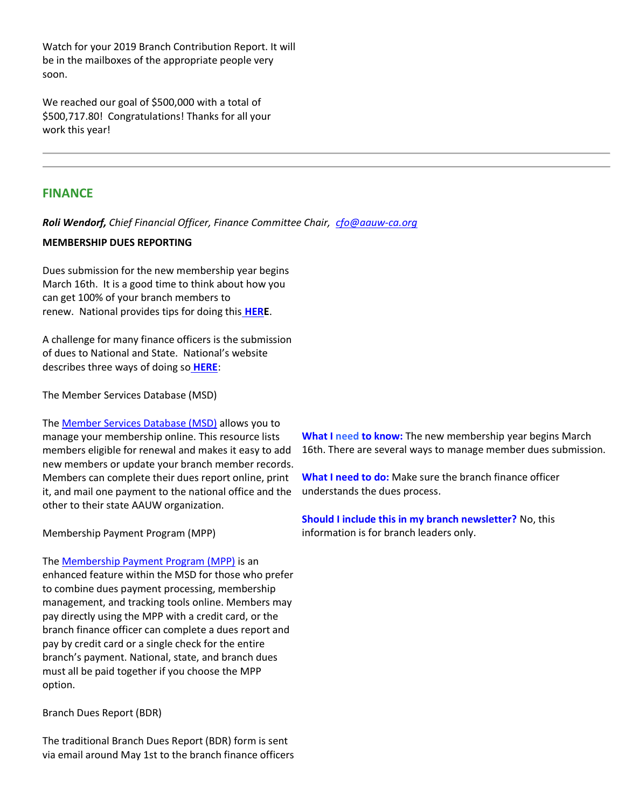Watch for your 2019 Branch Contribution Report. It will be in the mailboxes of the appropriate people very soon.

We reached our goal of \$500,000 with a total of \$500,717.80! Congratulations! Thanks for all your work this year!

# **FINANCE**

*Roli Wendorf, Chief Financial Officer, Finance Committee Chair, [cfo@aauw-ca.org](mailto:cfo@aauw-ca.org)*

#### **MEMBERSHIP DUES REPORTING**

Dues submission for the new membership year begins March 16th. It is a good time to think about how you can get 100% of your branch members to renew. National provides tips for doing this **[HERE](https://www.aauw.org/resource/membership-renewals-calendar/)**.

A challenge for many finance officers is the submission of dues to National and State. National's website describes three ways of doing so **[HERE](https://www.aauw.org/resource/branch-dues-report-process/)**:

The Member Services Database (MSD)

Th[e Member Services Database \(MSD\)](https://www.aauw.org/resource/member-services-database/) allows you to manage your membership online. This resource lists members eligible for renewal and makes it easy to add new members or update your branch member records. Members can complete their dues report online, print it, and mail one payment to the national office and the other to their state AAUW organization.

Membership Payment Program (MPP)

Th[e Membership Payment Program \(MPP\)](https://www.aauw.org/resource/membership-payment-program/) is an enhanced feature within the MSD for those who prefer to combine dues payment processing, membership management, and tracking tools online. Members may pay directly using the MPP with a credit card, or the branch finance officer can complete a dues report and pay by credit card or a single check for the entire branch's payment. National, state, and branch dues must all be paid together if you choose the MPP option.

Branch Dues Report (BDR)

The traditional Branch Dues Report (BDR) form is sent via email around May 1st to the branch finance officers

**What I need to know:** The new membership year begins March 16th. There are several ways to manage member dues submission.

**What I need to do:** Make sure the branch finance officer understands the dues process.

**Should I include this in my branch newsletter?** No, this information is for branch leaders only.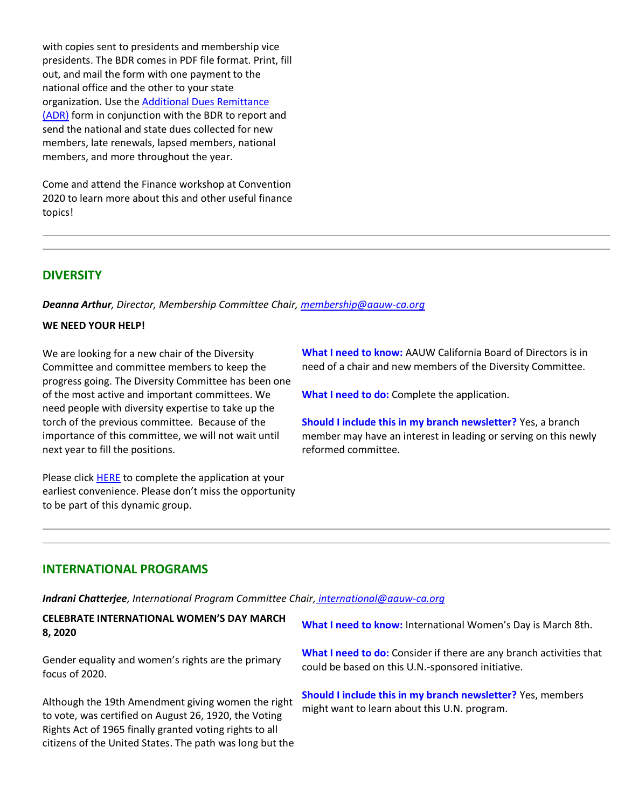with copies sent to presidents and membership vice presidents. The BDR comes in PDF file format. Print, fill out, and mail the form with one payment to the national office and the other to your state organization. Use the [Additional Dues Remittance](https://www.aauw.org/resource/additional-dues-remittance-adr-form/)  [\(ADR\)](https://www.aauw.org/resource/additional-dues-remittance-adr-form/) form in conjunction with the BDR to report and send the national and state dues collected for new members, late renewals, lapsed members, national members, and more throughout the year.

Come and attend the Finance workshop at Convention 2020 to learn more about this and other useful finance topics!

# **DIVERSITY**

*Deanna Arthur, Director, Membership Committee Chair[, membership@aauw-ca.org](mailto:membership@aauw-ca.org)*

#### **WE NEED YOUR HELP!**

We are looking for a new chair of the Diversity Committee and committee members to keep the progress going. The Diversity Committee has been one of the most active and important committees. We need people with diversity expertise to take up the torch of the previous committee. Because of the importance of this committee, we will not wait until next year to fill the positions.

Please click **HERE** to complete the application at your earliest convenience. Please don't miss the opportunity to be part of this dynamic group.

**What I need to know:** AAUW California Board of Directors is in need of a chair and new members of the Diversity Committee.

**What I need to do:** Complete the application.

**Should I include this in my branch newsletter?** Yes, a branch member may have an interest in leading or serving on this newly reformed committee.

#### **INTERNATIONAL PROGRAMS**

*Indrani Chatterjee, International Program Committee Chair[,](mailto:leaderdev@aauw-ca.org) [international@aauw-ca.org](mailto:international@aauw-ca.org)*

**CELEBRATE INTERNATIONAL WOMEN'S DAY MARCH 8, 2020**

Gender equality and women's rights are the primary focus of 2020.

Although the 19th Amendment giving women the right to vote, was certified on August 26, 1920, the Voting Rights Act of 1965 finally granted voting rights to all citizens of the United States. The path was long but the

**What I need to know:** International Women's Day is March 8th.

**What I need to do:** Consider if there are any branch activities that could be based on this U.N.-sponsored initiative.

**Should I include this in my branch newsletter?** Yes, members might want to learn about this U.N. program.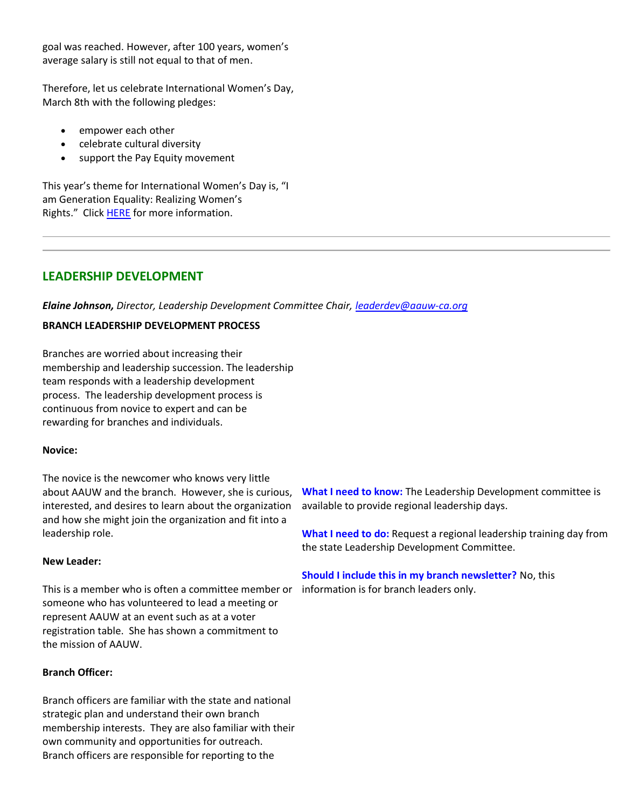goal was reached. However, after 100 years, women's average salary is still not equal to that of men.

Therefore, let us celebrate International Women's Day, March 8th with the following pledges:

- empower each other
- celebrate cultural diversity
- support the Pay Equity movement

This year's theme for International Women's Day is, "I am Generation Equality: Realizing Women's Rights." Click **HERE** for more information.

# **LEADERSHIP DEVELOPMENT**

*Elaine Johnson, Director, Leadership Development Committee Chair, [leaderdev@aauw-ca.org](mailto:leaderdev@aauw-ca.org)*

## **BRANCH LEADERSHIP DEVELOPMENT PROCESS**

Branches are worried about increasing their membership and leadership succession. The leadership team responds with a leadership development process. The leadership development process is continuous from novice to expert and can be rewarding for branches and individuals.

## **Novice:**

The novice is the newcomer who knows very little about AAUW and the branch. However, she is curious, interested, and desires to learn about the organization and how she might join the organization and fit into a leadership role.

#### **New Leader:**

This is a member who is often a committee member or information is for branch leaders only.someone who has volunteered to lead a meeting or represent AAUW at an event such as at a voter registration table. She has shown a commitment to the mission of AAUW.

## **Branch Officer:**

Branch officers are familiar with the state and national strategic plan and understand their own branch membership interests. They are also familiar with their own community and opportunities for outreach. Branch officers are responsible for reporting to the

**What I need to know:** The Leadership Development committee is available to provide regional leadership days.

**What I need to do:** Request a regional leadership training day from the state Leadership Development Committee.

**Should I include this in my branch newsletter?** No, this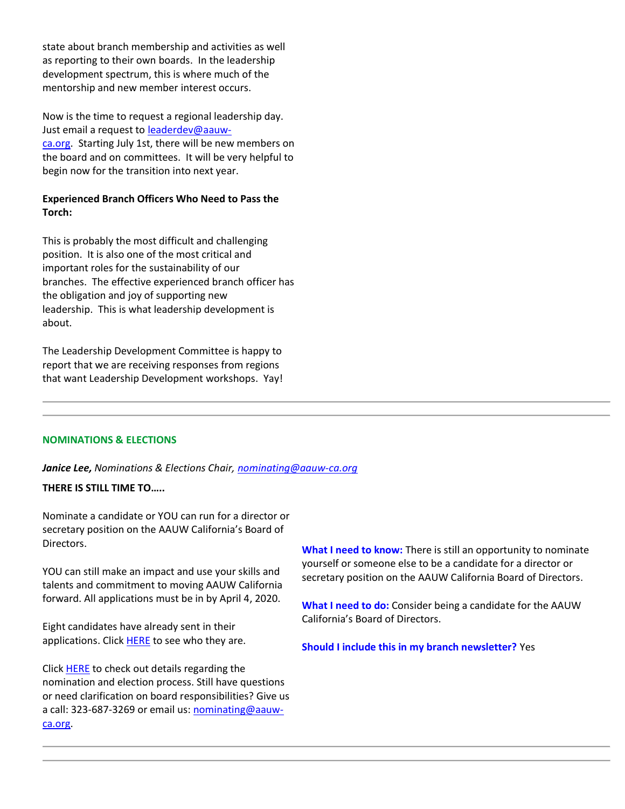state about branch membership and activities as well as reporting to their own boards. In the leadership development spectrum, this is where much of the mentorship and new member interest occurs.

Now is the time to request a regional leadership day. Just email a request to **leaderdev@aauw**[ca.org.](mailto:leaderdev@aauw-ca.org) Starting July 1st, there will be new members on the board and on committees. It will be very helpful to begin now for the transition into next year.

# **Experienced Branch Officers Who Need to Pass the Torch:**

This is probably the most difficult and challenging position. It is also one of the most critical and important roles for the sustainability of our branches. The effective experienced branch officer has the obligation and joy of supporting new leadership. This is what leadership development is about.

The Leadership Development Committee is happy to report that we are receiving responses from regions that want Leadership Development workshops. Yay!

#### **NOMINATIONS & ELECTIONS**

*Janice Lee, Nominations & Elections Chair, [nominating@aauw-ca.org](mailto:nominating@aauw-ca.org)*

**THERE IS STILL TIME TO…..**

Nominate a candidate or YOU can run for a director or secretary position on the AAUW California's Board of Directors.

YOU can still make an impact and use your skills and talents and commitment to moving AAUW California forward. All applications must be in by April 4, 2020.

Eight candidates have already sent in their applications. Click **HERE** to see who they are.

Click **HERE** to check out details regarding the nomination and election process. Still have questions or need clarification on board responsibilities? Give us a call: 323-687-3269 or email us: [nominating@aauw](mailto:nominating@aauw-ca.org)[ca.org.](mailto:nominating@aauw-ca.org)

**What I need to know:** There is still an opportunity to nominate yourself or someone else to be a candidate for a director or secretary position on the AAUW California Board of Directors.

**What I need to do:** Consider being a candidate for the AAUW California's Board of Directors.

**Should I include this in my branch newsletter?** Yes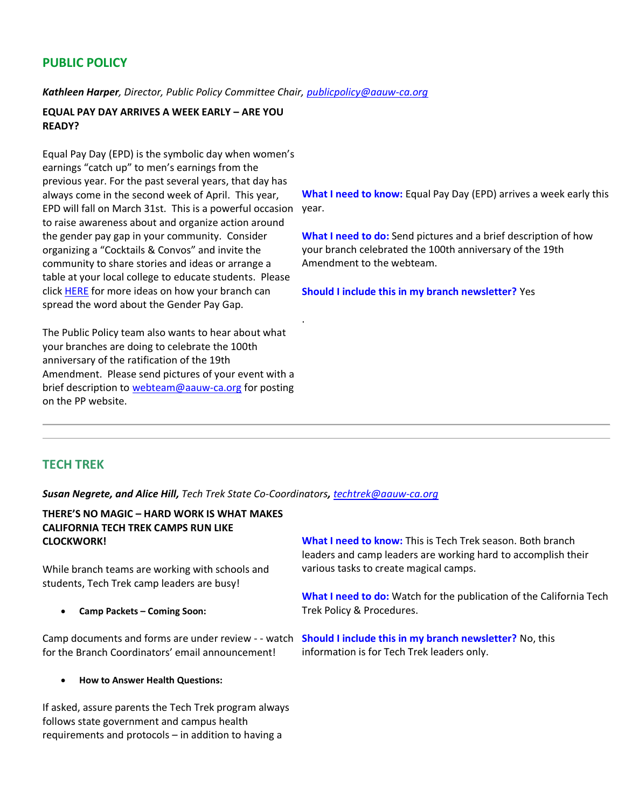# **PUBLIC POLICY**

*Kathleen Harper, Director, Public Policy Committee Chair, [publicpolicy@aauw-ca.org](mailto:PublicPolicy@aauw-ca.org)*

# **EQUAL PAY DAY ARRIVES A WEEK EARLY – ARE YOU READY?**

Equal Pay Day (EPD) is the symbolic day when women's earnings "catch up" to men's earnings from the previous year. For the past several years, that day has always come in the second week of April. This year, EPD will fall on March 31st. This is a powerful occasion year. to raise awareness about and organize action around the gender pay gap in your community. Consider organizing a "Cocktails & Convos" and invite the community to share stories and ideas or arrange a table at your local college to educate students. Please click [HERE](https://www.aauw.org/resource/how-to-equal-pay-day/) for more ideas on how your branch can spread the word about the Gender Pay Gap.

The Public Policy team also wants to hear about what your branches are doing to celebrate the 100th anniversary of the ratification of the 19th Amendment. Please send pictures of your event with a brief description to [webteam@aauw-ca.org](mailto:webteam@aauw-ca.org) for posting on the PP website.

**What I need to know:** Equal Pay Day (EPD) arrives a week early this

**What I need to do:** Send pictures and a brief description of how your branch celebrated the 100th anniversary of the 19th Amendment to the webteam.

**Should I include this in my branch newsletter?** Yes

# **TECH TREK**

*Susan Negrete, and Alice Hill, Tech Trek State Co-Coordinators, [techtrek@aauw-ca.org](mailto:techtrek@aauw-ca.org)*

.

## **THERE'S NO MAGIC – HARD WORK IS WHAT MAKES CALIFORNIA TECH TREK CAMPS RUN LIKE CLOCKWORK!**

While branch teams are working with schools and students, Tech Trek camp leaders are busy!

• **Camp Packets – Coming Soon:**

for the Branch Coordinators' email announcement!

• **How to Answer Health Questions:**

If asked, assure parents the Tech Trek program always follows state government and campus health requirements and protocols – in addition to having a

**What I need to know:** This is Tech Trek season. Both branch leaders and camp leaders are working hard to accomplish their various tasks to create magical camps.

**What I need to do:** Watch for the publication of the California Tech Trek Policy & Procedures.

Camp documents and forms are under review - - watch **Should I include this in my branch newsletter?** No, this information is for Tech Trek leaders only.